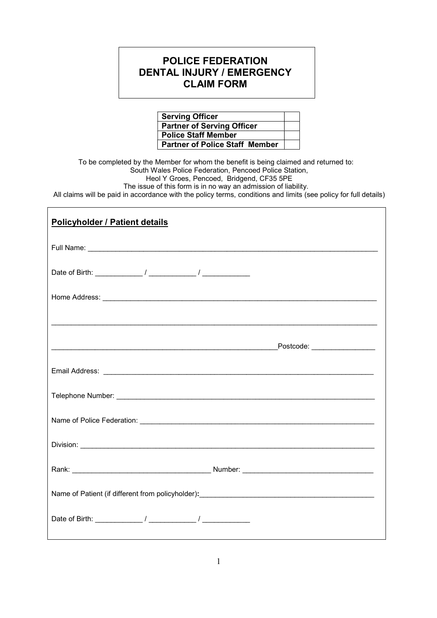## POLICE FEDERATION DENTAL INJURY / EMERGENCY CLAIM FORM

| <b>Serving Officer</b>                |  |
|---------------------------------------|--|
| <b>Partner of Serving Officer</b>     |  |
| <b>Police Staff Member</b>            |  |
| <b>Partner of Police Staff Member</b> |  |

To be completed by the Member for whom the benefit is being claimed and returned to: South Wales Police Federation, Pencoed Police Station, Heol Y Groes, Pencoed, Bridgend, CF35 5PE The issue of this form is in no way an admission of liability.

 $\overline{\phantom{a}}$ 

All claims will be paid in accordance with the policy terms, conditions and limits (see policy for full details)

| <b>Policyholder / Patient details</b>                                                                                         |
|-------------------------------------------------------------------------------------------------------------------------------|
|                                                                                                                               |
|                                                                                                                               |
|                                                                                                                               |
|                                                                                                                               |
|                                                                                                                               |
|                                                                                                                               |
|                                                                                                                               |
|                                                                                                                               |
|                                                                                                                               |
|                                                                                                                               |
| Name of Patient (if different from policyholder): [14] Decrement and the patient of Patient (if different from policyholder): |
|                                                                                                                               |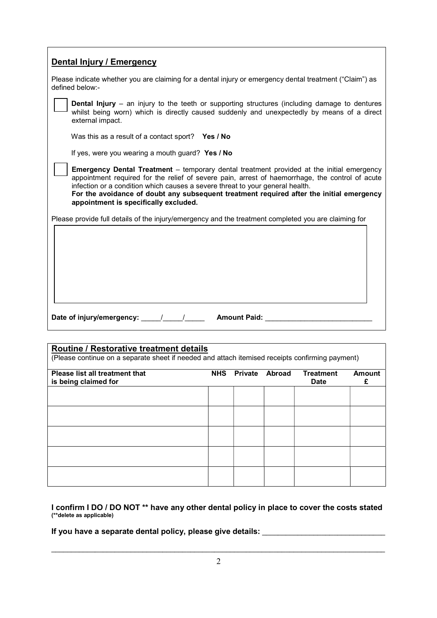| <b>Dental Injury / Emergency</b>                                                                                                                                                                                                                                                                                                                                                                                          |  |  |
|---------------------------------------------------------------------------------------------------------------------------------------------------------------------------------------------------------------------------------------------------------------------------------------------------------------------------------------------------------------------------------------------------------------------------|--|--|
| Please indicate whether you are claiming for a dental injury or emergency dental treatment ("Claim") as<br>defined below:-                                                                                                                                                                                                                                                                                                |  |  |
| <b>Dental Injury</b> – an injury to the teeth or supporting structures (including damage to dentures<br>whilst being worn) which is directly caused suddenly and unexpectedly by means of a direct<br>external impact.                                                                                                                                                                                                    |  |  |
| Was this as a result of a contact sport? Yes / No                                                                                                                                                                                                                                                                                                                                                                         |  |  |
| If yes, were you wearing a mouth guard? Yes / No                                                                                                                                                                                                                                                                                                                                                                          |  |  |
| <b>Emergency Dental Treatment</b> – temporary dental treatment provided at the initial emergency<br>appointment required for the relief of severe pain, arrest of haemorrhage, the control of acute<br>infection or a condition which causes a severe threat to your general health.<br>For the avoidance of doubt any subsequent treatment required after the initial emergency<br>appointment is specifically excluded. |  |  |
| Please provide full details of the injury/emergency and the treatment completed you are claiming for                                                                                                                                                                                                                                                                                                                      |  |  |
|                                                                                                                                                                                                                                                                                                                                                                                                                           |  |  |
| Date of injury/emergency: 1 1 1 Amount Paid:                                                                                                                                                                                                                                                                                                                                                                              |  |  |

| Routine / Restorative treatment details<br>(Please continue on a separate sheet if needed and attach itemised receipts confirming payment) |            |                |               |                                 |                    |
|--------------------------------------------------------------------------------------------------------------------------------------------|------------|----------------|---------------|---------------------------------|--------------------|
| <b>Please list all treatment that</b><br>is being claimed for                                                                              | <b>NHS</b> | <b>Private</b> | <b>Abroad</b> | <b>Treatment</b><br><b>Date</b> | <b>Amount</b><br>£ |
|                                                                                                                                            |            |                |               |                                 |                    |
|                                                                                                                                            |            |                |               |                                 |                    |
|                                                                                                                                            |            |                |               |                                 |                    |
|                                                                                                                                            |            |                |               |                                 |                    |
|                                                                                                                                            |            |                |               |                                 |                    |

I confirm I DO / DO NOT \*\* have any other dental policy in place to cover the costs stated (\*\*delete as applicable)

If you have a separate dental policy, please give details: \_\_\_\_\_\_\_\_\_\_\_\_\_\_\_\_\_\_\_\_\_\_\_\_\_\_\_\_\_\_\_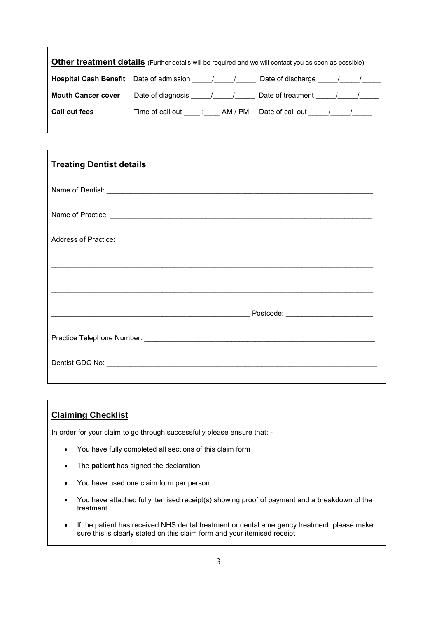| <b>Other treatment details</b> (Further details will be required and we will contact you as soon as possible) |                            |                                                                            |  |
|---------------------------------------------------------------------------------------------------------------|----------------------------|----------------------------------------------------------------------------|--|
|                                                                                                               |                            | <b>Hospital Cash Benefit</b> Date of admission 1 1 2 Date of discharge 1 1 |  |
| <b>Mouth Cancer cover</b>                                                                                     | Date of diagnosis 11/1/1   | Date of treatment 1                                                        |  |
| Call out fees                                                                                                 | Time of call out : AM / PM | Date of call out 1 1                                                       |  |

| <b>Treating Dentist details</b>                                                                                                                                                                                                |  |
|--------------------------------------------------------------------------------------------------------------------------------------------------------------------------------------------------------------------------------|--|
|                                                                                                                                                                                                                                |  |
| Name of Practice: Name of Practice: Name of Practice Community of the Community of Contractor Community of Community of Community of Community of Community of Community of Community of Community of Community of Community o |  |
|                                                                                                                                                                                                                                |  |
|                                                                                                                                                                                                                                |  |
|                                                                                                                                                                                                                                |  |
|                                                                                                                                                                                                                                |  |
|                                                                                                                                                                                                                                |  |
|                                                                                                                                                                                                                                |  |
|                                                                                                                                                                                                                                |  |

### Claiming Checklist

In order for your claim to go through successfully please ensure that: -

- You have fully completed all sections of this claim form
- The patient has signed the declaration
- You have used one claim form per person
- You have attached fully itemised receipt(s) showing proof of payment and a breakdown of the treatment
- If the patient has received NHS dental treatment or dental emergency treatment, please make sure this is clearly stated on this claim form and your itemised receipt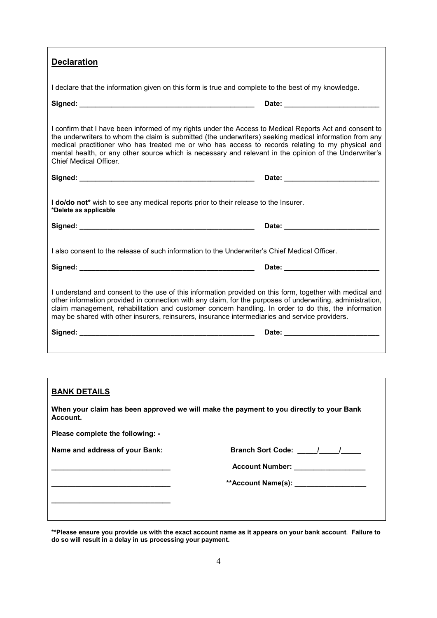| <b>Declaration</b>                                                                                                                                                                                                                                                                                                                                                                                                                                                |
|-------------------------------------------------------------------------------------------------------------------------------------------------------------------------------------------------------------------------------------------------------------------------------------------------------------------------------------------------------------------------------------------------------------------------------------------------------------------|
| I declare that the information given on this form is true and complete to the best of my knowledge.                                                                                                                                                                                                                                                                                                                                                               |
|                                                                                                                                                                                                                                                                                                                                                                                                                                                                   |
| I confirm that I have been informed of my rights under the Access to Medical Reports Act and consent to<br>the underwriters to whom the claim is submitted (the underwriters) seeking medical information from any<br>medical practitioner who has treated me or who has access to records relating to my physical and<br>mental health, or any other source which is necessary and relevant in the opinion of the Underwriter's<br><b>Chief Medical Officer.</b> |
|                                                                                                                                                                                                                                                                                                                                                                                                                                                                   |
| I do/do not* wish to see any medical reports prior to their release to the Insurer.<br>*Delete as applicable                                                                                                                                                                                                                                                                                                                                                      |
|                                                                                                                                                                                                                                                                                                                                                                                                                                                                   |
| I also consent to the release of such information to the Underwriter's Chief Medical Officer.                                                                                                                                                                                                                                                                                                                                                                     |
|                                                                                                                                                                                                                                                                                                                                                                                                                                                                   |
| I understand and consent to the use of this information provided on this form, together with medical and<br>other information provided in connection with any claim, for the purposes of underwriting, administration,<br>claim management, rehabilitation and customer concern handling. In order to do this, the information<br>may be shared with other insurers, reinsurers, insurance intermediaries and service providers.                                  |
|                                                                                                                                                                                                                                                                                                                                                                                                                                                                   |
|                                                                                                                                                                                                                                                                                                                                                                                                                                                                   |
|                                                                                                                                                                                                                                                                                                                                                                                                                                                                   |
| <b>BANK DETAILS</b>                                                                                                                                                                                                                                                                                                                                                                                                                                               |
| When your claim has been approved we will make the payment to you directly to your Bank<br>Account.                                                                                                                                                                                                                                                                                                                                                               |

| **Please ensure you provide us with the exact account name as it appears on your bank account. Failure to |  |
|-----------------------------------------------------------------------------------------------------------|--|
| do so will result in a delay in us processing your payment.                                               |  |

Name and address of your Bank: Branch Sort Code: \_\_\_\_\_/\_\_\_\_\_/\_\_\_\_\_\_\_\_\_\_\_\_\_\_\_\_\_\_\_

\_\_\_\_\_\_\_\_\_\_\_\_\_\_\_\_\_\_\_\_\_\_\_\_\_\_\_\_\_\_ Account Number: \_\_\_\_\_\_\_\_\_\_\_\_\_\_\_\_\_\_

\*\*Account Name(s): \_\_\_\_\_\_\_\_\_\_\_\_\_\_\_\_\_\_\_\_

Please complete the following: -

\_\_\_\_\_\_\_\_\_\_\_\_\_\_\_\_\_\_\_\_\_\_\_\_\_\_\_\_\_\_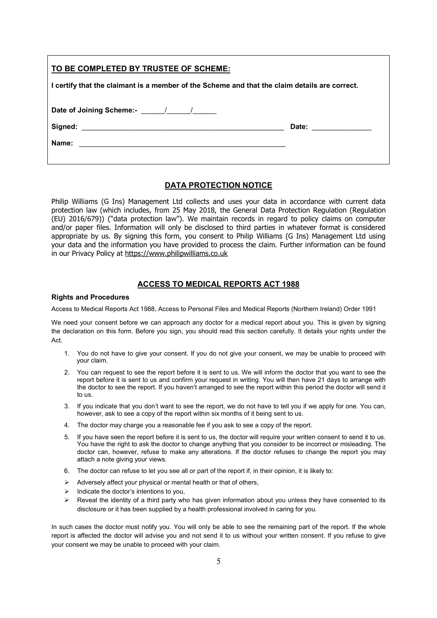| TO BE COMPLETED BY TRUSTEE OF SCHEME:                                                                                          |                     |  |
|--------------------------------------------------------------------------------------------------------------------------------|---------------------|--|
| I certify that the claimant is a member of the Scheme and that the claim details are correct.                                  |                     |  |
| Date of Joining Scheme:- 1 1                                                                                                   |                     |  |
|                                                                                                                                | Date: _____________ |  |
| Name:<br><u> 1980 - Johann Stoff, deutscher Stoff, der Stoff, der Stoff, der Stoff, der Stoff, der Stoff, der Stoff, der S</u> |                     |  |

#### DATA PROTECTION NOTICE

Philip Williams (G Ins) Management Ltd collects and uses your data in accordance with current data protection law (which includes, from 25 May 2018, the General Data Protection Regulation (Regulation (EU) 2016/679)) ("data protection law"). We maintain records in regard to policy claims on computer and/or paper files. Information will only be disclosed to third parties in whatever format is considered appropriate by us. By signing this form, you consent to Philip Williams (G Ins) Management Ltd using your data and the information you have provided to process the claim. Further information can be found in our Privacy Policy at https://www.philipwilliams.co.uk

#### ACCESS TO MEDICAL REPORTS ACT 1988

#### Rights and Procedures

Access to Medical Reports Act 1988, Access to Personal Files and Medical Reports (Northern Ireland) Order 1991

We need your consent before we can approach any doctor for a medical report about you. This is given by signing the declaration on this form. Before you sign, you should read this section carefully. It details your rights under the Act.

- 1. You do not have to give your consent. If you do not give your consent, we may be unable to proceed with your claim.
- 2. You can request to see the report before it is sent to us. We will inform the doctor that you want to see the report before it is sent to us and confirm your request in writing. You will then have 21 days to arrange with the doctor to see the report. If you haven't arranged to see the report within this period the doctor will send it to us.
- 3. If you indicate that you don't want to see the report, we do not have to tell you if we apply for one. You can, however, ask to see a copy of the report within six months of it being sent to us.
- 4. The doctor may charge you a reasonable fee if you ask to see a copy of the report.
- 5. If you have seen the report before it is sent to us, the doctor will require your written consent to send it to us. You have the right to ask the doctor to change anything that you consider to be incorrect or misleading. The doctor can, however, refuse to make any alterations. If the doctor refuses to change the report you may attach a note giving your views.
- 6. The doctor can refuse to let you see all or part of the report if, in their opinion, it is likely to:
- $\triangleright$  Adversely affect your physical or mental health or that of others,
- $\triangleright$  Indicate the doctor's intentions to you,
- $\triangleright$  Reveal the identity of a third party who has given information about you unless they have consented to its disclosure or it has been supplied by a health professional involved in caring for you.

In such cases the doctor must notify you. You will only be able to see the remaining part of the report. If the whole report is affected the doctor will advise you and not send it to us without your written consent. If you refuse to give your consent we may be unable to proceed with your claim.